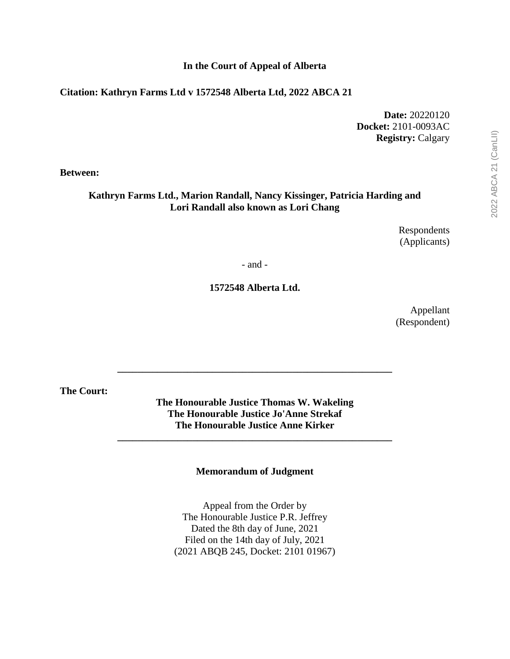#### **In the Court of Appeal of Alberta**

#### **Citation: Kathryn Farms Ltd v 1572548 Alberta Ltd, 2022 ABCA 21**

**Date:** 20220120 **Docket:** 2101-0093AC **Registry:** Calgary

**Between:**

#### **Kathryn Farms Ltd., Marion Randall, Nancy Kissinger, Patricia Harding and Lori Randall also known as Lori Chang**

Respondents (Applicants)

- and -

**1572548 Alberta Ltd.**

Appellant (Respondent) 2022 ABCA 21 (CanLII) 2022 ABCA 21 (CanLII)

**The Court:**

**The Honourable Justice Thomas W. Wakeling The Honourable Justice Jo'Anne Strekaf The Honourable Justice Anne Kirker**

**\_\_\_\_\_\_\_\_\_\_\_\_\_\_\_\_\_\_\_\_\_\_\_\_\_\_\_\_\_\_\_\_\_\_\_\_\_\_\_\_\_\_\_\_\_\_\_\_\_\_\_\_\_\_\_**

**\_\_\_\_\_\_\_\_\_\_\_\_\_\_\_\_\_\_\_\_\_\_\_\_\_\_\_\_\_\_\_\_\_\_\_\_\_\_\_\_\_\_\_\_\_\_\_\_\_\_\_\_\_\_\_**

**Memorandum of Judgment**

Appeal from the Order by The Honourable Justice P.R. Jeffrey Dated the 8th day of June, 2021 Filed on the 14th day of July, 2021 (2021 ABQB 245, Docket: 2101 01967)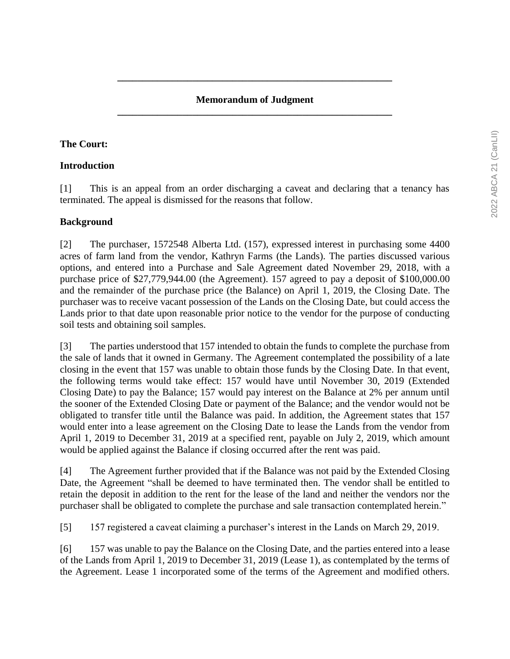## **Memorandum of Judgment \_\_\_\_\_\_\_\_\_\_\_\_\_\_\_\_\_\_\_\_\_\_\_\_\_\_\_\_\_\_\_\_\_\_\_\_\_\_\_\_\_\_\_\_\_\_\_\_\_\_\_\_\_\_\_**

**\_\_\_\_\_\_\_\_\_\_\_\_\_\_\_\_\_\_\_\_\_\_\_\_\_\_\_\_\_\_\_\_\_\_\_\_\_\_\_\_\_\_\_\_\_\_\_\_\_\_\_\_\_\_\_**

## **The Court:**

#### **Introduction**

[1] This is an appeal from an order discharging a caveat and declaring that a tenancy has terminated. The appeal is dismissed for the reasons that follow.

## **Background**

[2] The purchaser, 1572548 Alberta Ltd. (157), expressed interest in purchasing some 4400 acres of farm land from the vendor, Kathryn Farms (the Lands). The parties discussed various options, and entered into a Purchase and Sale Agreement dated November 29, 2018, with a purchase price of \$27,779,944.00 (the Agreement). 157 agreed to pay a deposit of \$100,000.00 and the remainder of the purchase price (the Balance) on April 1, 2019, the Closing Date. The purchaser was to receive vacant possession of the Lands on the Closing Date, but could access the Lands prior to that date upon reasonable prior notice to the vendor for the purpose of conducting soil tests and obtaining soil samples.

[3] The parties understood that 157 intended to obtain the funds to complete the purchase from the sale of lands that it owned in Germany. The Agreement contemplated the possibility of a late closing in the event that 157 was unable to obtain those funds by the Closing Date. In that event, the following terms would take effect: 157 would have until November 30, 2019 (Extended Closing Date) to pay the Balance; 157 would pay interest on the Balance at 2% per annum until the sooner of the Extended Closing Date or payment of the Balance; and the vendor would not be obligated to transfer title until the Balance was paid. In addition, the Agreement states that 157 would enter into a lease agreement on the Closing Date to lease the Lands from the vendor from April 1, 2019 to December 31, 2019 at a specified rent, payable on July 2, 2019, which amount would be applied against the Balance if closing occurred after the rent was paid.

[4] The Agreement further provided that if the Balance was not paid by the Extended Closing Date, the Agreement "shall be deemed to have terminated then. The vendor shall be entitled to retain the deposit in addition to the rent for the lease of the land and neither the vendors nor the purchaser shall be obligated to complete the purchase and sale transaction contemplated herein."

[5] 157 registered a caveat claiming a purchaser's interest in the Lands on March 29, 2019.

[6] 157 was unable to pay the Balance on the Closing Date, and the parties entered into a lease of the Lands from April 1, 2019 to December 31, 2019 (Lease 1), as contemplated by the terms of the Agreement. Lease 1 incorporated some of the terms of the Agreement and modified others.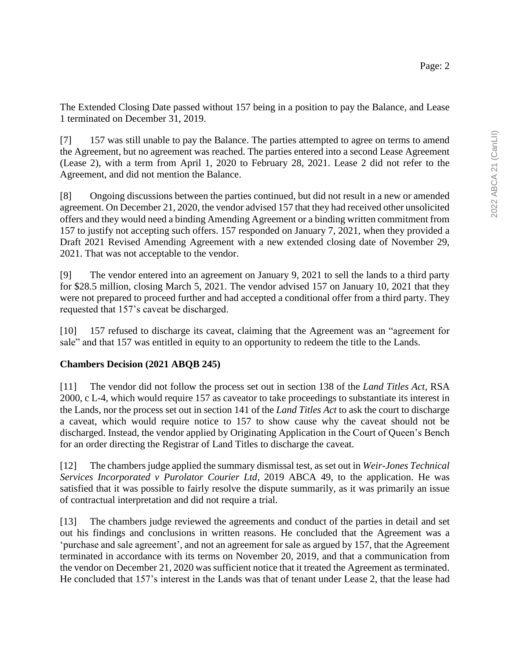The Extended Closing Date passed without 157 being in a position to pay the Balance, and Lease 1 terminated on December 31, 2019.

[7] 157 was still unable to pay the Balance. The parties attempted to agree on terms to amend the Agreement, but no agreement was reached. The parties entered into a second Lease Agreement (Lease 2), with a term from April 1, 2020 to February 28, 2021. Lease 2 did not refer to the Agreement, and did not mention the Balance.

[8] Ongoing discussions between the parties continued, but did not result in a new or amended agreement. On December 21, 2020, the vendor advised 157 that they had received other unsolicited offers and they would need a binding Amending Agreement or a binding written commitment from 157 to justify not accepting such offers. 157 responded on January 7, 2021, when they provided a Draft 2021 Revised Amending Agreement with a new extended closing date of November 29, 2021. That was not acceptable to the vendor.

[9] The vendor entered into an agreement on January 9, 2021 to sell the lands to a third party for \$28.5 million, closing March 5, 2021. The vendor advised 157 on January 10, 2021 that they were not prepared to proceed further and had accepted a conditional offer from a third party. They requested that 157's caveat be discharged.

[10] 157 refused to discharge its caveat, claiming that the Agreement was an "agreement for sale" and that 157 was entitled in equity to an opportunity to redeem the title to the Lands.

## **Chambers Decision (2021 ABQB 245)**

[11] The vendor did not follow the process set out in section 138 of the *Land Titles Act*, RSA 2000, c L-4, which would require 157 as caveator to take proceedings to substantiate its interest in the Lands, nor the process set out in section 141 of the *Land Titles Act* to ask the court to discharge a caveat, which would require notice to 157 to show cause why the caveat should not be discharged. Instead, the vendor applied by Originating Application in the Court of Queen's Bench for an order directing the Registrar of Land Titles to discharge the caveat.

[12] The chambers judge applied the summary dismissal test, as set out in *Weir-Jones Technical Services Incorporated v Purolator Courier Ltd*, 2019 ABCA 49, to the application. He was satisfied that it was possible to fairly resolve the dispute summarily, as it was primarily an issue of contractual interpretation and did not require a trial.

[13] The chambers judge reviewed the agreements and conduct of the parties in detail and set out his findings and conclusions in written reasons. He concluded that the Agreement was a 'purchase and sale agreement', and not an agreement for sale as argued by 157, that the Agreement terminated in accordance with its terms on November 20, 2019, and that a communication from the vendor on December 21, 2020 was sufficient notice that it treated the Agreement as terminated. He concluded that 157's interest in the Lands was that of tenant under Lease 2, that the lease had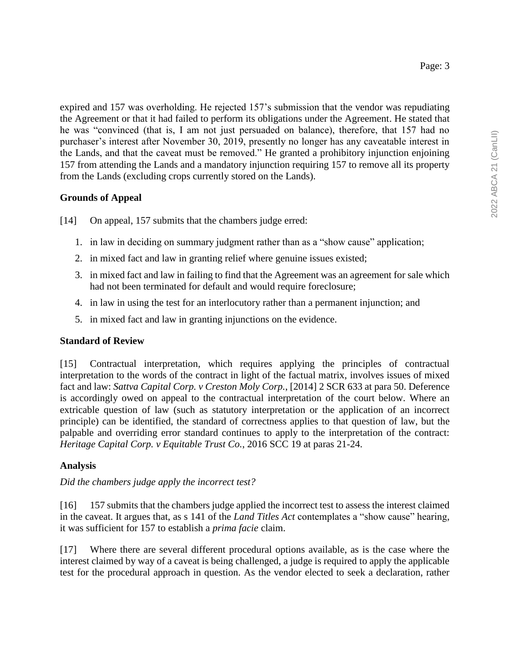expired and 157 was overholding. He rejected 157's submission that the vendor was repudiating the Agreement or that it had failed to perform its obligations under the Agreement. He stated that he was "convinced (that is, I am not just persuaded on balance), therefore, that 157 had no purchaser's interest after November 30, 2019, presently no longer has any caveatable interest in the Lands, and that the caveat must be removed." He granted a prohibitory injunction enjoining 157 from attending the Lands and a mandatory injunction requiring 157 to remove all its property from the Lands (excluding crops currently stored on the Lands).

# **Grounds of Appeal**

- [14] On appeal, 157 submits that the chambers judge erred:
	- 1. in law in deciding on summary judgment rather than as a "show cause" application;
	- 2. in mixed fact and law in granting relief where genuine issues existed;
	- 3. in mixed fact and law in failing to find that the Agreement was an agreement for sale which had not been terminated for default and would require foreclosure;
	- 4. in law in using the test for an interlocutory rather than a permanent injunction; and
	- 5. in mixed fact and law in granting injunctions on the evidence.

## **Standard of Review**

[15] Contractual interpretation, which requires applying the principles of contractual interpretation to the words of the contract in light of the factual matrix, involves issues of mixed fact and law: *Sattva Capital Corp. v Creston Moly Corp.*, [2014] 2 SCR 633 at para 50. Deference is accordingly owed on appeal to the contractual interpretation of the court below. Where an extricable question of law (such as statutory interpretation or the application of an incorrect principle) can be identified, the standard of correctness applies to that question of law, but the palpable and overriding error standard continues to apply to the interpretation of the contract: *Heritage Capital Corp. v Equitable Trust Co.*, 2016 SCC 19 at paras 21-24.

## **Analysis**

## *Did the chambers judge apply the incorrect test?*

[16] 157 submits that the chambers judge applied the incorrect test to assess the interest claimed in the caveat. It argues that, as s 141 of the *Land Titles Act* contemplates a "show cause" hearing, it was sufficient for 157 to establish a *prima facie* claim.

[17] Where there are several different procedural options available, as is the case where the interest claimed by way of a caveat is being challenged, a judge is required to apply the applicable test for the procedural approach in question. As the vendor elected to seek a declaration, rather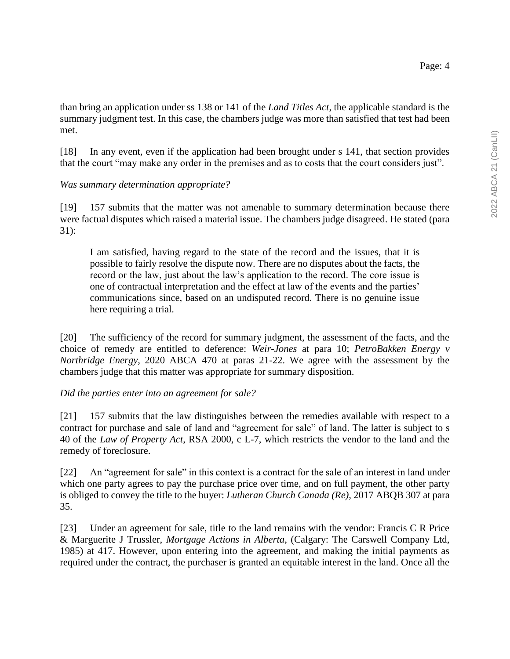than bring an application under ss 138 or 141 of the *Land Titles Act*, the applicable standard is the summary judgment test. In this case, the chambers judge was more than satisfied that test had been met.

[18] In any event, even if the application had been brought under s 141, that section provides that the court "may make any order in the premises and as to costs that the court considers just".

## *Was summary determination appropriate?*

[19] 157 submits that the matter was not amenable to summary determination because there were factual disputes which raised a material issue. The chambers judge disagreed. He stated (para 31):

I am satisfied, having regard to the state of the record and the issues, that it is possible to fairly resolve the dispute now. There are no disputes about the facts, the record or the law, just about the law's application to the record. The core issue is one of contractual interpretation and the effect at law of the events and the parties' communications since, based on an undisputed record. There is no genuine issue here requiring a trial.

[20] The sufficiency of the record for summary judgment, the assessment of the facts, and the choice of remedy are entitled to deference: *Weir-Jones* at para 10; *PetroBakken Energy v Northridge Energy*, 2020 ABCA 470 at paras 21-22. We agree with the assessment by the chambers judge that this matter was appropriate for summary disposition.

#### *Did the parties enter into an agreement for sale?*

[21] 157 submits that the law distinguishes between the remedies available with respect to a contract for purchase and sale of land and "agreement for sale" of land. The latter is subject to s 40 of the *Law of Property Act*, RSA 2000, c L-7, which restricts the vendor to the land and the remedy of foreclosure.

[22] An "agreement for sale" in this context is a contract for the sale of an interest in land under which one party agrees to pay the purchase price over time, and on full payment, the other party is obliged to convey the title to the buyer: *Lutheran Church Canada (Re)*, 2017 ABQB 307 at para 35.

[23] Under an agreement for sale, title to the land remains with the vendor: Francis C R Price & Marguerite J Trussler, *Mortgage Actions in Alberta*, (Calgary: The Carswell Company Ltd, 1985) at 417. However, upon entering into the agreement, and making the initial payments as required under the contract, the purchaser is granted an equitable interest in the land. Once all the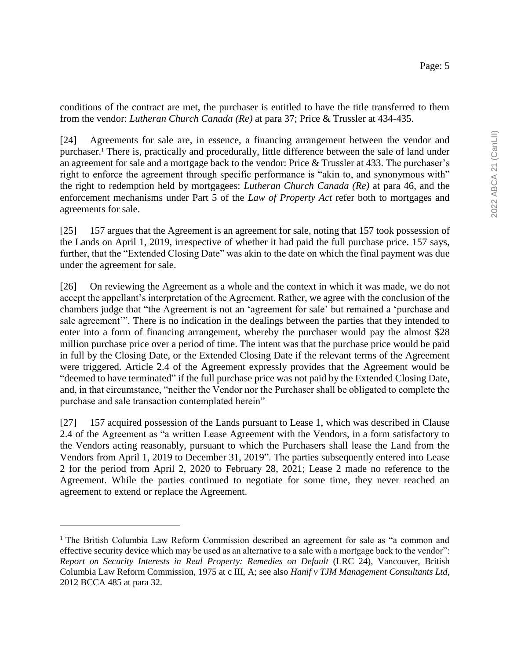conditions of the contract are met, the purchaser is entitled to have the title transferred to them from the vendor: *Lutheran Church Canada (Re)* at para 37; Price & Trussler at 434-435.

[24] Agreements for sale are, in essence, a financing arrangement between the vendor and purchaser.<sup>1</sup> There is, practically and procedurally, little difference between the sale of land under an agreement for sale and a mortgage back to the vendor: Price & Trussler at 433. The purchaser's right to enforce the agreement through specific performance is "akin to, and synonymous with" the right to redemption held by mortgagees: *Lutheran Church Canada (Re)* at para 46, and the enforcement mechanisms under Part 5 of the *Law of Property Act* refer both to mortgages and agreements for sale.

[25] 157 argues that the Agreement is an agreement for sale, noting that 157 took possession of the Lands on April 1, 2019, irrespective of whether it had paid the full purchase price. 157 says, further, that the "Extended Closing Date" was akin to the date on which the final payment was due under the agreement for sale.

[26] On reviewing the Agreement as a whole and the context in which it was made, we do not accept the appellant's interpretation of the Agreement. Rather, we agree with the conclusion of the chambers judge that "the Agreement is not an 'agreement for sale' but remained a 'purchase and sale agreement'". There is no indication in the dealings between the parties that they intended to enter into a form of financing arrangement, whereby the purchaser would pay the almost \$28 million purchase price over a period of time. The intent was that the purchase price would be paid in full by the Closing Date, or the Extended Closing Date if the relevant terms of the Agreement were triggered. Article 2.4 of the Agreement expressly provides that the Agreement would be "deemed to have terminated" if the full purchase price was not paid by the Extended Closing Date, and, in that circumstance, "neither the Vendor nor the Purchaser shall be obligated to complete the purchase and sale transaction contemplated herein"

[27] 157 acquired possession of the Lands pursuant to Lease 1, which was described in Clause 2.4 of the Agreement as "a written Lease Agreement with the Vendors, in a form satisfactory to the Vendors acting reasonably, pursuant to which the Purchasers shall lease the Land from the Vendors from April 1, 2019 to December 31, 2019". The parties subsequently entered into Lease 2 for the period from April 2, 2020 to February 28, 2021; Lease 2 made no reference to the Agreement. While the parties continued to negotiate for some time, they never reached an agreement to extend or replace the Agreement.

 $\overline{a}$ 

<sup>1</sup> The British Columbia Law Reform Commission described an agreement for sale as "a common and effective security device which may be used as an alternative to a sale with a mortgage back to the vendor": *Report on Security Interests in Real Property: Remedies on Default* (LRC 24), Vancouver, British Columbia Law Reform Commission, 1975 at c III, A; see also *Hanif v TJM Management Consultants Ltd*, 2012 BCCA 485 at para 32.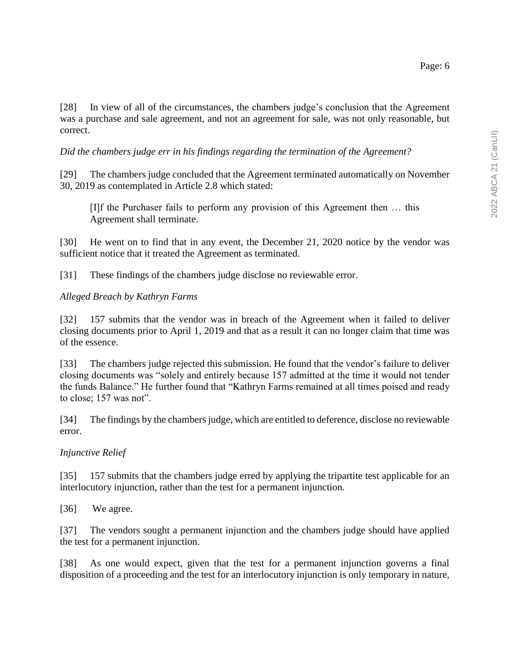[28] In view of all of the circumstances, the chambers judge's conclusion that the Agreement was a purchase and sale agreement, and not an agreement for sale, was not only reasonable, but correct.

*Did the chambers judge err in his findings regarding the termination of the Agreement?*

[29] The chambers judge concluded that the Agreement terminated automatically on November 30, 2019 as contemplated in Article 2.8 which stated:

[I]f the Purchaser fails to perform any provision of this Agreement then … this Agreement shall terminate.

[30] He went on to find that in any event, the December 21, 2020 notice by the vendor was sufficient notice that it treated the Agreement as terminated.

[31] These findings of the chambers judge disclose no reviewable error.

#### *Alleged Breach by Kathryn Farms*

[32] 157 submits that the vendor was in breach of the Agreement when it failed to deliver closing documents prior to April 1, 2019 and that as a result it can no longer claim that time was of the essence.

[33] The chambers judge rejected this submission. He found that the vendor's failure to deliver closing documents was "solely and entirely because 157 admitted at the time it would not tender the funds Balance." He further found that "Kathryn Farms remained at all times poised and ready to close; 157 was not".

[34] The findings by the chambers judge, which are entitled to deference, disclose no reviewable error.

#### *Injunctive Relief*

[35] 157 submits that the chambers judge erred by applying the tripartite test applicable for an interlocutory injunction, rather than the test for a permanent injunction.

[36] We agree.

[37] The vendors sought a permanent injunction and the chambers judge should have applied the test for a permanent injunction.

[38] As one would expect, given that the test for a permanent injunction governs a final disposition of a proceeding and the test for an interlocutory injunction is only temporary in nature,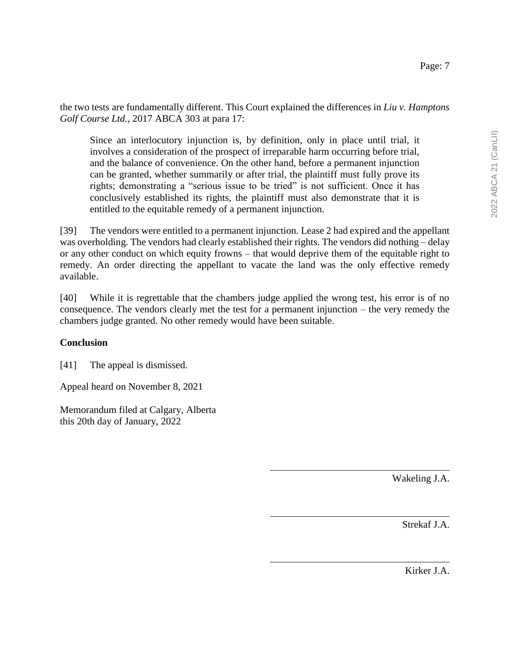the two tests are fundamentally different. This Court explained the differences in *Liu v. Hamptons Golf Course Ltd.*, 2017 ABCA 303 at para 17:

Since an interlocutory injunction is, by definition, only in place until trial, it involves a consideration of the prospect of irreparable harm occurring before trial, and the balance of convenience. On the other hand, before a permanent injunction can be granted, whether summarily or after trial, the plaintiff must fully prove its rights; demonstrating a "serious issue to be tried" is not sufficient. Once it has conclusively established its rights, the plaintiff must also demonstrate that it is entitled to the equitable remedy of a permanent injunction.

[39] The vendors were entitled to a permanent injunction. Lease 2 had expired and the appellant was overholding. The vendors had clearly established their rights. The vendors did nothing – delay or any other conduct on which equity frowns – that would deprive them of the equitable right to remedy. An order directing the appellant to vacate the land was the only effective remedy available.

[40] While it is regrettable that the chambers judge applied the wrong test, his error is of no consequence. The vendors clearly met the test for a permanent injunction – the very remedy the chambers judge granted. No other remedy would have been suitable.

## **Conclusion**

[41] The appeal is dismissed.

Appeal heard on November 8, 2021

Memorandum filed at Calgary, Alberta this 20th day of January, 2022

Wakeling J.A.

Strekaf J.A.

Kirker J.A.